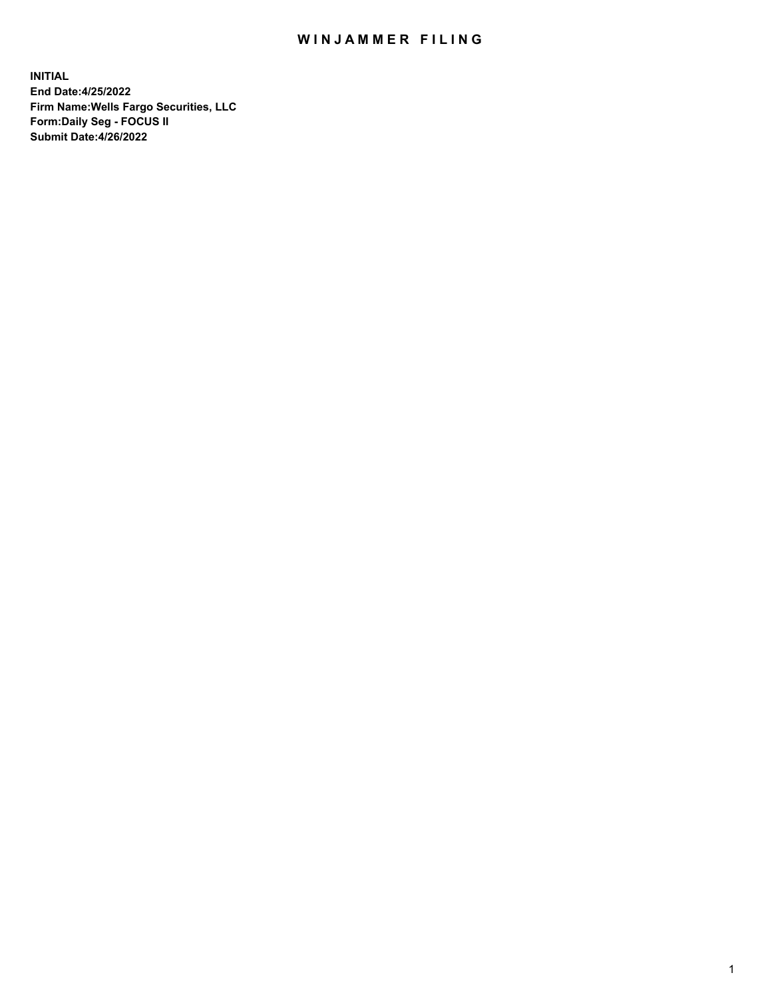## WIN JAMMER FILING

**INITIAL End Date:4/25/2022 Firm Name:Wells Fargo Securities, LLC Form:Daily Seg - FOCUS II Submit Date:4/26/2022**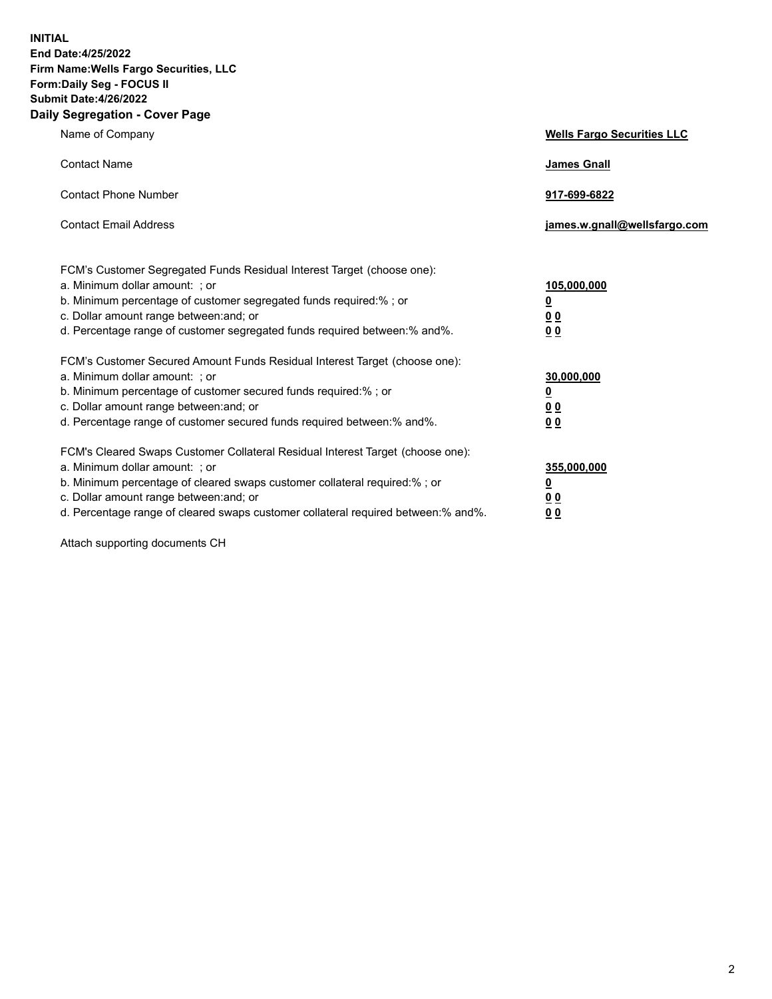**INITIAL End Date:4/25/2022 Firm Name:Wells Fargo Securities, LLC Form:Daily Seg - FOCUS II Submit Date:4/26/2022 Daily Segregation - Cover Page**

| Name of Company                                                                                                                                                                                                                                                                                                                | <b>Wells Fargo Securities LLC</b>                          |
|--------------------------------------------------------------------------------------------------------------------------------------------------------------------------------------------------------------------------------------------------------------------------------------------------------------------------------|------------------------------------------------------------|
| <b>Contact Name</b>                                                                                                                                                                                                                                                                                                            | <b>James Gnall</b>                                         |
| <b>Contact Phone Number</b>                                                                                                                                                                                                                                                                                                    | 917-699-6822                                               |
| <b>Contact Email Address</b>                                                                                                                                                                                                                                                                                                   | james.w.gnall@wellsfargo.com                               |
| FCM's Customer Segregated Funds Residual Interest Target (choose one):<br>a. Minimum dollar amount: ; or<br>b. Minimum percentage of customer segregated funds required:% ; or<br>c. Dollar amount range between: and; or<br>d. Percentage range of customer segregated funds required between:% and%.                         | 105,000,000<br><u>0</u><br>0 <sub>0</sub><br>00            |
| FCM's Customer Secured Amount Funds Residual Interest Target (choose one):<br>a. Minimum dollar amount: ; or<br>b. Minimum percentage of customer secured funds required:%; or<br>c. Dollar amount range between: and; or<br>d. Percentage range of customer secured funds required between:% and%.                            | 30,000,000<br><u>0</u><br>0 <sub>0</sub><br>0 <sub>0</sub> |
| FCM's Cleared Swaps Customer Collateral Residual Interest Target (choose one):<br>a. Minimum dollar amount: ; or<br>b. Minimum percentage of cleared swaps customer collateral required:% ; or<br>c. Dollar amount range between: and; or<br>d. Percentage range of cleared swaps customer collateral required between:% and%. | 355,000,000<br><u>0</u><br>00<br>00                        |

Attach supporting documents CH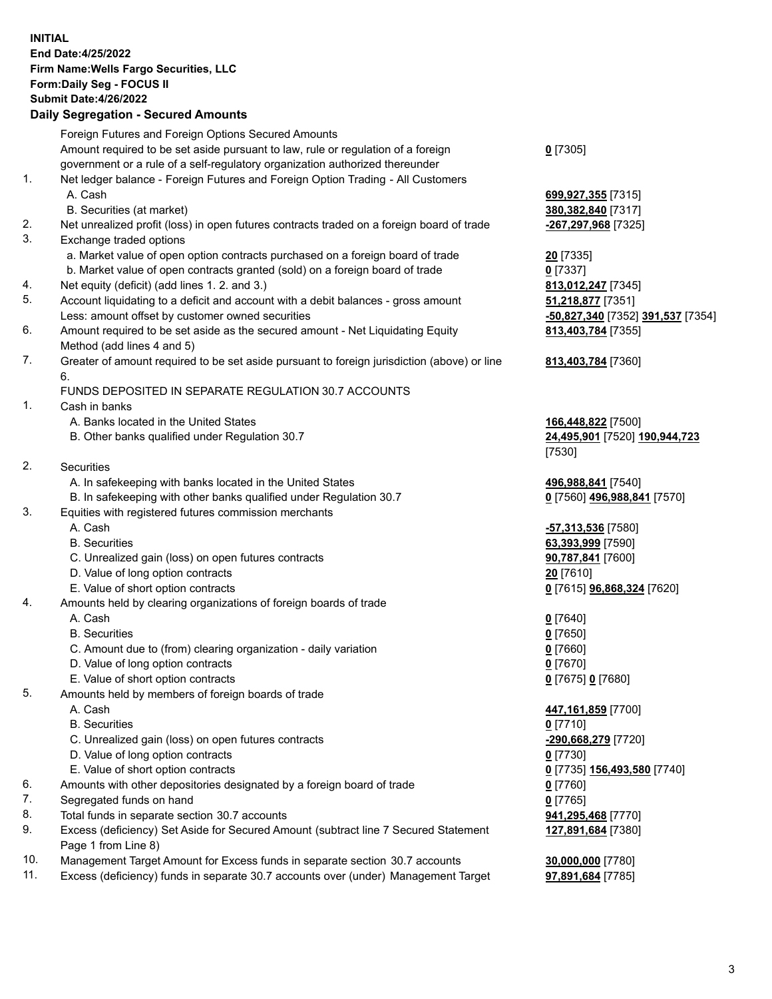**INITIAL End Date:4/25/2022 Firm Name:Wells Fargo Securities, LLC Form:Daily Seg - FOCUS II Submit Date:4/26/2022 Daily Segregation - Secured Amounts** Foreign Futures and Foreign Options Secured Amounts Amount required to be set aside pursuant to law, rule or regulation of a foreign government or a rule of a self-regulatory organization authorized thereunder 1. Net ledger balance - Foreign Futures and Foreign Option Trading - All Customers A. Cash **699,927,355** [7315] B. Securities (at market) **380,382,840** [7317] 2. Net unrealized profit (loss) in open futures contracts traded on a foreign board of trade **-267,297,968** [7325] 3. Exchange traded options a. Market value of open option contracts purchased on a foreign board of trade **20** [7335] b. Market value of open contracts granted (sold) on a foreign board of trade **0** [7337]

- 4. Net equity (deficit) (add lines 1. 2. and 3.) **813,012,247** [7345]
- 5. Account liquidating to a deficit and account with a debit balances gross amount **51,218,877** [7351] Less: amount offset by customer owned securities **-50,827,340** [7352] **391,537** [7354]
- 6. Amount required to be set aside as the secured amount Net Liquidating Equity Method (add lines 4 and 5)
- 7. Greater of amount required to be set aside pursuant to foreign jurisdiction (above) or line 6.

## FUNDS DEPOSITED IN SEPARATE REGULATION 30.7 ACCOUNTS

1. Cash in banks

- A. Banks located in the United States **166,448,822** [7500]
- B. Other banks qualified under Regulation 30.7 **24,495,901** [7520] **190,944,723**

2. Securities

- A. In safekeeping with banks located in the United States **496,988,841** [7540]
- B. In safekeeping with other banks qualified under Regulation 30.7 **0** [7560] **496,988,841** [7570]
- 3. Equities with registered futures commission merchants
	-
	-
	- C. Unrealized gain (loss) on open futures contracts **90,787,841** [7600]
	- D. Value of long option contracts **20** [7610]
	- E. Value of short option contracts **0** [7615] **96,868,324** [7620]
- 4. Amounts held by clearing organizations of foreign boards of trade

## A. Cash **0** [7640]

- B. Securities **0** [7650]
- C. Amount due to (from) clearing organization daily variation **0** [7660]
- D. Value of long option contracts **0** [7670]
- E. Value of short option contracts **0** [7675] **0** [7680]
- 5. Amounts held by members of foreign boards of trade
	-
	- B. Securities **0** [7710]
	- C. Unrealized gain (loss) on open futures contracts **-290,668,279** [7720]
	- D. Value of long option contracts **0** [7730]
	- E. Value of short option contracts **0** [7735] **156,493,580** [7740]
- 6. Amounts with other depositories designated by a foreign board of trade **0** [7760]
- 7. Segregated funds on hand **0** [7765]
- 8. Total funds in separate section 30.7 accounts **941,295,468** [7770]
- 9. Excess (deficiency) Set Aside for Secured Amount (subtract line 7 Secured Statement Page 1 from Line 8)
- 10. Management Target Amount for Excess funds in separate section 30.7 accounts **30,000,000** [7780]
- 11. Excess (deficiency) funds in separate 30.7 accounts over (under) Management Target **97,891,684** [7785]

**0** [7305]

**813,403,784** [7355]

## **813,403,784** [7360]

[7530]

 A. Cash **-57,313,536** [7580] B. Securities **63,393,999** [7590]

 A. Cash **447,161,859** [7700] **127,891,684** [7380]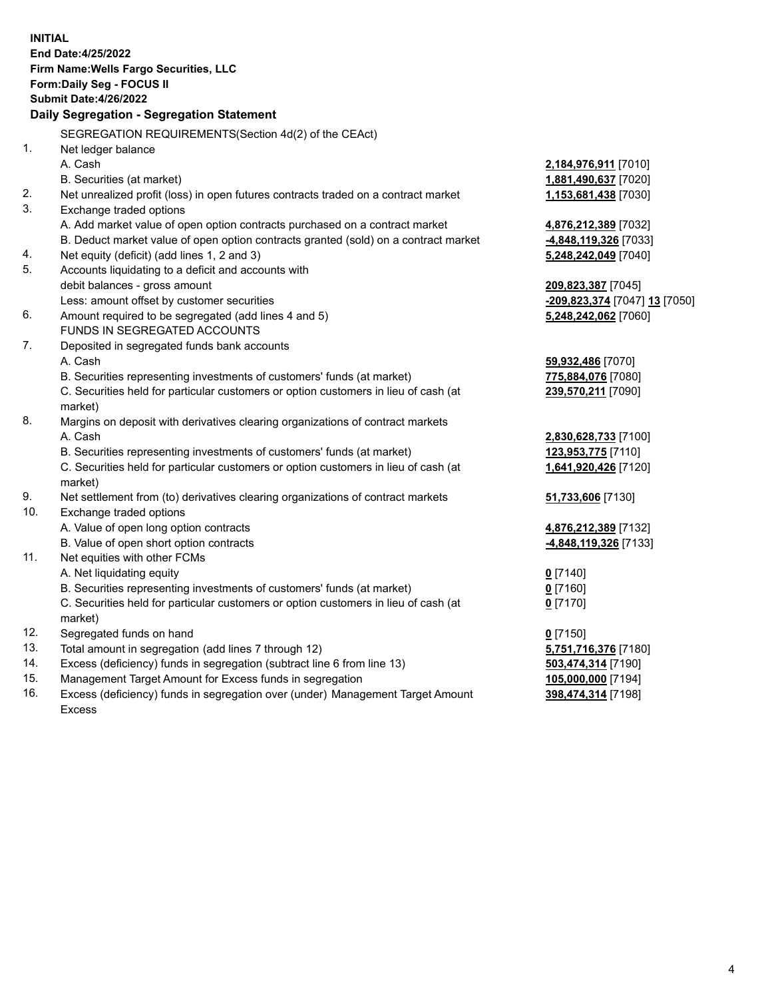**INITIAL End Date:4/25/2022 Firm Name:Wells Fargo Securities, LLC Form:Daily Seg - FOCUS II Submit Date:4/26/2022 Daily Segregation - Segregation Statement** SEGREGATION REQUIREMENTS(Section 4d(2) of the CEAct) 1. Net ledger balance A. Cash **2,184,976,911** [7010] B. Securities (at market) **1,881,490,637** [7020] 2. Net unrealized profit (loss) in open futures contracts traded on a contract market **1,153,681,438** [7030] 3. Exchange traded options A. Add market value of open option contracts purchased on a contract market **4,876,212,389** [7032] B. Deduct market value of open option contracts granted (sold) on a contract market **-4,848,119,326** [7033] 4. Net equity (deficit) (add lines 1, 2 and 3) **5,248,242,049** [7040] 5. Accounts liquidating to a deficit and accounts with debit balances - gross amount **209,823,387** [7045] Less: amount offset by customer securities **-209,823,374** [7047] **13** [7050] 6. Amount required to be segregated (add lines 4 and 5) **5,248,242,062** [7060] FUNDS IN SEGREGATED ACCOUNTS 7. Deposited in segregated funds bank accounts A. Cash **59,932,486** [7070] B. Securities representing investments of customers' funds (at market) **775,884,076** [7080] C. Securities held for particular customers or option customers in lieu of cash (at market) **239,570,211** [7090] 8. Margins on deposit with derivatives clearing organizations of contract markets A. Cash **2,830,628,733** [7100] B. Securities representing investments of customers' funds (at market) **123,953,775** [7110] C. Securities held for particular customers or option customers in lieu of cash (at market) **1,641,920,426** [7120] 9. Net settlement from (to) derivatives clearing organizations of contract markets **51,733,606** [7130] 10. Exchange traded options A. Value of open long option contracts **4,876,212,389** [7132] B. Value of open short option contracts **-4,848,119,326** [7133] 11. Net equities with other FCMs A. Net liquidating equity **0** [7140] B. Securities representing investments of customers' funds (at market) **0** [7160] C. Securities held for particular customers or option customers in lieu of cash (at market) **0** [7170] 12. Segregated funds on hand **0** [7150] 13. Total amount in segregation (add lines 7 through 12) **5,751,716,376** [7180] 14. Excess (deficiency) funds in segregation (subtract line 6 from line 13) **503,474,314** [7190] 15. Management Target Amount for Excess funds in segregation **105,000,000** [7194] 16. Excess (deficiency) funds in segregation over (under) Management Target Amount Excess **398,474,314** [7198]